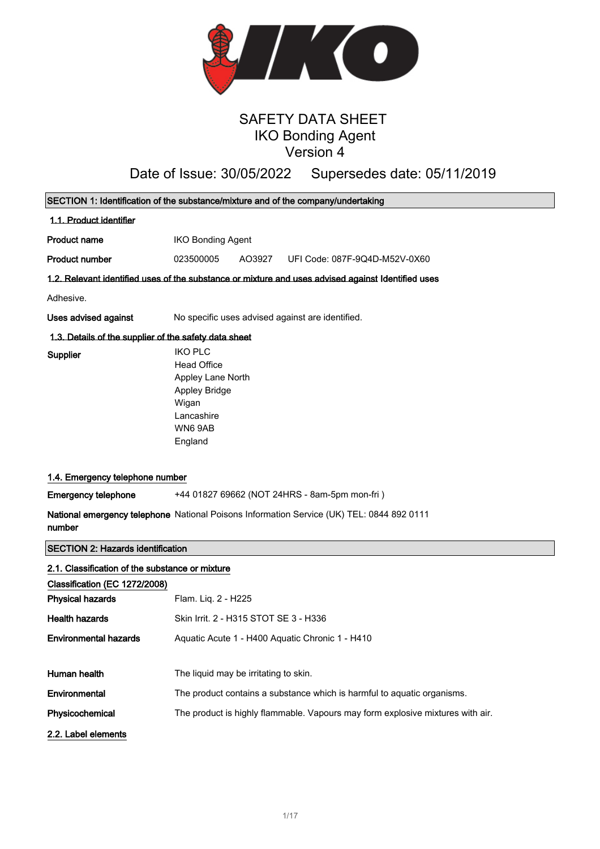

# SAFETY DATA SHEET IKO Bonding Agent Version 4

# Date of Issue: 30/05/2022 Supersedes date: 05/11/2019

| SECTION 1: Identification of the substance/mixture and of the company/undertaking |                                                                                                    |  |
|-----------------------------------------------------------------------------------|----------------------------------------------------------------------------------------------------|--|
| 1.1. Product identifier                                                           |                                                                                                    |  |
| <b>Product name</b>                                                               | <b>IKO Bonding Agent</b>                                                                           |  |
| <b>Product number</b>                                                             | 023500005<br>UFI Code: 087F-9Q4D-M52V-0X60<br>AO3927                                               |  |
|                                                                                   | 1.2. Relevant identified uses of the substance or mixture and uses advised against Identified uses |  |
| Adhesive.                                                                         |                                                                                                    |  |
| Uses advised against                                                              | No specific uses advised against are identified.                                                   |  |
| 1.3. Details of the supplier of the safety data sheet                             |                                                                                                    |  |
| Supplier                                                                          | <b>IKO PLC</b><br><b>Head Office</b>                                                               |  |
|                                                                                   | Appley Lane North                                                                                  |  |
|                                                                                   | <b>Appley Bridge</b>                                                                               |  |
|                                                                                   | Wigan<br>Lancashire                                                                                |  |
|                                                                                   | WN69AB                                                                                             |  |
|                                                                                   | England                                                                                            |  |
|                                                                                   |                                                                                                    |  |
| 1.4. Emergency telephone number                                                   |                                                                                                    |  |
| <b>Emergency telephone</b>                                                        | +44 01827 69662 (NOT 24HRS - 8am-5pm mon-fri)                                                      |  |
| number                                                                            | National emergency telephone National Poisons Information Service (UK) TEL: 0844 892 0111          |  |
| <b>SECTION 2: Hazards identification</b>                                          |                                                                                                    |  |
| 2.1. Classification of the substance or mixture                                   |                                                                                                    |  |
| Classification (EC 1272/2008)                                                     |                                                                                                    |  |
| <b>Physical hazards</b>                                                           | Flam. Liq. 2 - H225                                                                                |  |
| <b>Health hazards</b>                                                             | Skin Irrit. 2 - H315 STOT SE 3 - H336                                                              |  |
| <b>Environmental hazards</b>                                                      | Aquatic Acute 1 - H400 Aquatic Chronic 1 - H410                                                    |  |
|                                                                                   |                                                                                                    |  |
| Human health                                                                      | The liquid may be irritating to skin.                                                              |  |
| Environmental                                                                     | The product contains a substance which is harmful to aquatic organisms.                            |  |
| Physicochemical                                                                   | The product is highly flammable. Vapours may form explosive mixtures with air.                     |  |
| 2.2. Label elements                                                               |                                                                                                    |  |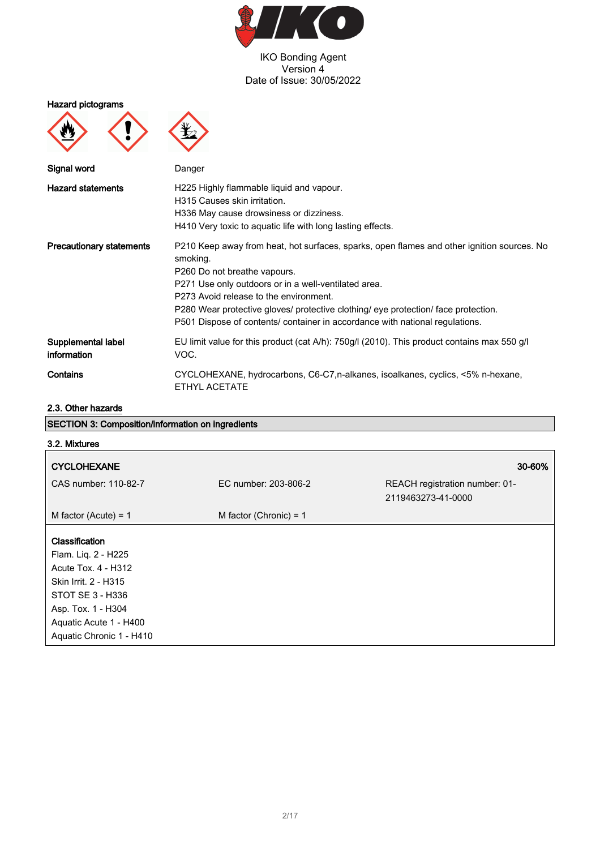

Hazard pictograms





| Signal word                       | Danger                                                                                                                                                                                                                                                                                                                                                                                                         |
|-----------------------------------|----------------------------------------------------------------------------------------------------------------------------------------------------------------------------------------------------------------------------------------------------------------------------------------------------------------------------------------------------------------------------------------------------------------|
| <b>Hazard statements</b>          | H225 Highly flammable liquid and vapour.<br>H315 Causes skin irritation.<br>H336 May cause drowsiness or dizziness.<br>H410 Very toxic to aquatic life with long lasting effects.                                                                                                                                                                                                                              |
| <b>Precautionary statements</b>   | P210 Keep away from heat, hot surfaces, sparks, open flames and other ignition sources. No<br>smoking.<br>P260 Do not breathe vapours.<br>P271 Use only outdoors or in a well-ventilated area.<br>P273 Avoid release to the environment.<br>P280 Wear protective gloves/ protective clothing/ eye protection/ face protection.<br>P501 Dispose of contents/ container in accordance with national regulations. |
| Supplemental label<br>information | EU limit value for this product (cat A/h): 750g/l (2010). This product contains max 550 g/l<br>VOC.                                                                                                                                                                                                                                                                                                            |
| Contains                          | CYCLOHEXANE, hydrocarbons, C6-C7, n-alkanes, isoalkanes, cyclics, <5% n-hexane,<br>ETHYL ACETATE                                                                                                                                                                                                                                                                                                               |

# 2.3. Other hazards

| <b>SECTION 3: Composition/information on ingredients</b>                                                                                                                             |                          |                                                      |  |
|--------------------------------------------------------------------------------------------------------------------------------------------------------------------------------------|--------------------------|------------------------------------------------------|--|
| 3.2. Mixtures                                                                                                                                                                        |                          |                                                      |  |
| <b>CYCLOHEXANE</b>                                                                                                                                                                   |                          | 30-60%                                               |  |
| CAS number: 110-82-7                                                                                                                                                                 | EC number: 203-806-2     | REACH registration number: 01-<br>2119463273-41-0000 |  |
| M factor (Acute) = $1$                                                                                                                                                               | M factor (Chronic) = $1$ |                                                      |  |
| Classification<br>Flam. Liq. 2 - H225<br>Acute Tox. 4 - H312<br>Skin Irrit. 2 - H315<br>STOT SE 3 - H336<br>Asp. Tox. 1 - H304<br>Aquatic Acute 1 - H400<br>Aquatic Chronic 1 - H410 |                          |                                                      |  |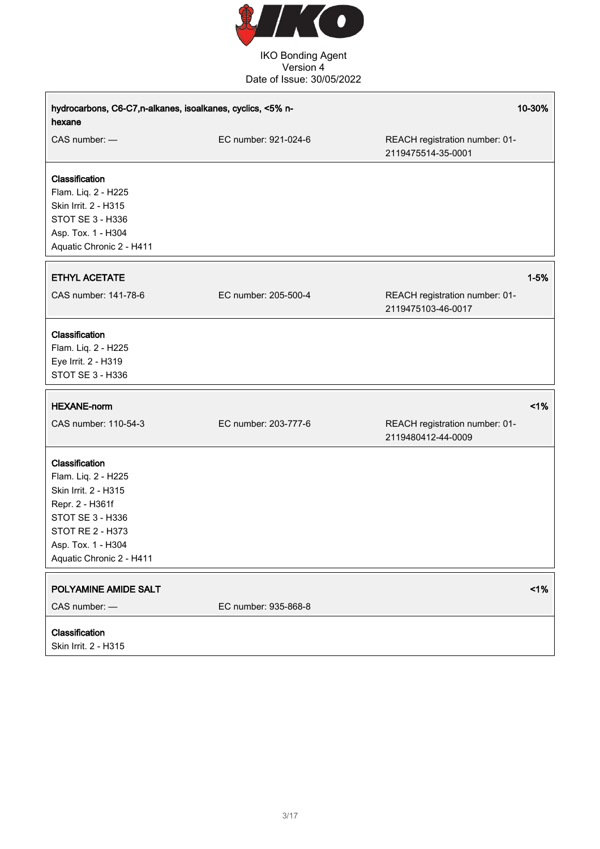

| hydrocarbons, C6-C7,n-alkanes, isoalkanes, cyclics, <5% n-<br>hexane                                                                                                       |                      |                                                      | 10-30%   |
|----------------------------------------------------------------------------------------------------------------------------------------------------------------------------|----------------------|------------------------------------------------------|----------|
| CAS number: -                                                                                                                                                              | EC number: 921-024-6 | REACH registration number: 01-<br>2119475514-35-0001 |          |
| Classification<br>Flam. Liq. 2 - H225<br>Skin Irrit. 2 - H315<br>STOT SE 3 - H336<br>Asp. Tox. 1 - H304<br>Aquatic Chronic 2 - H411                                        |                      |                                                      |          |
| <b>ETHYL ACETATE</b>                                                                                                                                                       |                      |                                                      | $1 - 5%$ |
| CAS number: 141-78-6                                                                                                                                                       | EC number: 205-500-4 | REACH registration number: 01-<br>2119475103-46-0017 |          |
| Classification<br>Flam. Liq. 2 - H225<br>Eye Irrit. 2 - H319<br>STOT SE 3 - H336                                                                                           |                      |                                                      |          |
| <b>HEXANE-norm</b>                                                                                                                                                         |                      |                                                      | 1%       |
| CAS number: 110-54-3                                                                                                                                                       | EC number: 203-777-6 | REACH registration number: 01-<br>2119480412-44-0009 |          |
| Classification<br>Flam. Liq. 2 - H225<br>Skin Irrit. 2 - H315<br>Repr. 2 - H361f<br>STOT SE 3 - H336<br>STOT RE 2 - H373<br>Asp. Tox. 1 - H304<br>Aquatic Chronic 2 - H411 |                      |                                                      |          |
| POLYAMINE AMIDE SALT<br>CAS number: -                                                                                                                                      | EC number: 935-868-8 |                                                      | 1%       |
| Classification<br>Skin Irrit. 2 - H315                                                                                                                                     |                      |                                                      |          |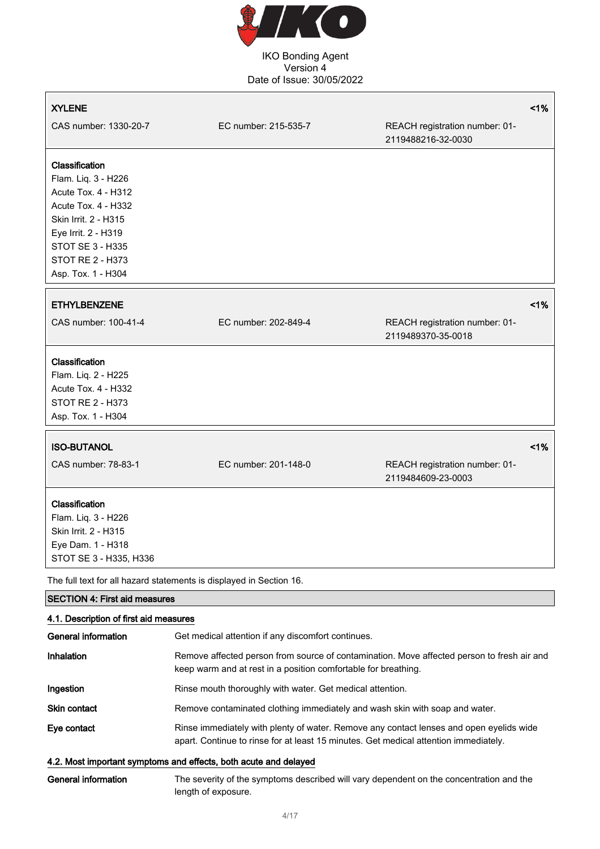

# XYLENE <1% CAS number: 1330-20-7 EC number: 215-535-7 REACH registration number: 01- 2119488216-32-0030 Classification Flam. Liq. 3 - H226 Acute Tox. 4 - H312 Acute Tox. 4 - H332 Skin Irrit. 2 - H315 Eye Irrit. 2 - H319 STOT SE 3 - H335 STOT RE 2 - H373 Asp. Tox. 1 - H304 ETHYLBENZENE <1% CAS number: 100-41-4 EC number: 202-849-4 REACH registration number: 01- 2119489370-35-0018 Classification Flam. Liq. 2 - H225 Acute Tox. 4 - H332 STOT RE 2 - H373 Asp. Tox. 1 - H304 ISO-BUTANOL <1% CAS number: 78-83-1 EC number: 201-148-0 REACH registration number: 01- 2119484609-23-0003 Classification Flam. Liq. 3 - H226 Skin Irrit. 2 - H315 Eye Dam. 1 - H318 STOT SE 3 - H335, H336

The full text for all hazard statements is displayed in Section 16.

#### SECTION 4: First aid measures  $\overline{11}$  and  $\overline{1}$  are  $\overline{1}$  and  $\overline{1}$  are  $\overline{1}$

| 4.1. Description of first ald measures |                                                                                                                                                                                 |  |
|----------------------------------------|---------------------------------------------------------------------------------------------------------------------------------------------------------------------------------|--|
| General information                    | Get medical attention if any discomfort continues.                                                                                                                              |  |
| Inhalation                             | Remove affected person from source of contamination. Move affected person to fresh air and<br>keep warm and at rest in a position comfortable for breathing.                    |  |
| Ingestion                              | Rinse mouth thoroughly with water. Get medical attention.                                                                                                                       |  |
| <b>Skin contact</b>                    | Remove contaminated clothing immediately and wash skin with soap and water.                                                                                                     |  |
| Eye contact                            | Rinse immediately with plenty of water. Remove any contact lenses and open eyelids wide<br>apart. Continue to rinse for at least 15 minutes. Get medical attention immediately. |  |

#### 4.2. Most important symptoms and effects, both acute and delayed

General information The severity of the symptoms described will vary dependent on the concentration and the length of exposure.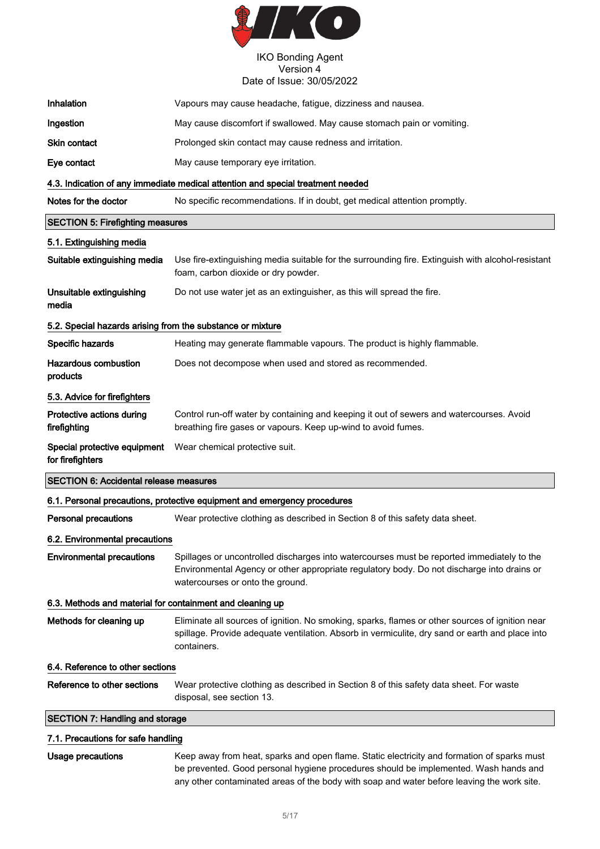

| Inhalation                                                 | Vapours may cause headache, fatigue, dizziness and nausea.                                                                                                                                                                   |  |
|------------------------------------------------------------|------------------------------------------------------------------------------------------------------------------------------------------------------------------------------------------------------------------------------|--|
| Ingestion                                                  | May cause discomfort if swallowed. May cause stomach pain or vomiting.                                                                                                                                                       |  |
| <b>Skin contact</b>                                        | Prolonged skin contact may cause redness and irritation.                                                                                                                                                                     |  |
| Eye contact                                                | May cause temporary eye irritation.                                                                                                                                                                                          |  |
|                                                            | 4.3. Indication of any immediate medical attention and special treatment needed                                                                                                                                              |  |
| Notes for the doctor                                       | No specific recommendations. If in doubt, get medical attention promptly.                                                                                                                                                    |  |
| <b>SECTION 5: Firefighting measures</b>                    |                                                                                                                                                                                                                              |  |
| 5.1. Extinguishing media                                   |                                                                                                                                                                                                                              |  |
| Suitable extinguishing media                               | Use fire-extinguishing media suitable for the surrounding fire. Extinguish with alcohol-resistant<br>foam, carbon dioxide or dry powder.                                                                                     |  |
| Unsuitable extinguishing<br>media                          | Do not use water jet as an extinguisher, as this will spread the fire.                                                                                                                                                       |  |
| 5.2. Special hazards arising from the substance or mixture |                                                                                                                                                                                                                              |  |
| Specific hazards                                           | Heating may generate flammable vapours. The product is highly flammable.                                                                                                                                                     |  |
| <b>Hazardous combustion</b><br>products                    | Does not decompose when used and stored as recommended.                                                                                                                                                                      |  |
| 5.3. Advice for firefighters                               |                                                                                                                                                                                                                              |  |
| Protective actions during<br>firefighting                  | Control run-off water by containing and keeping it out of sewers and watercourses. Avoid<br>breathing fire gases or vapours. Keep up-wind to avoid fumes.                                                                    |  |
| Special protective equipment<br>for firefighters           | Wear chemical protective suit.                                                                                                                                                                                               |  |
| <b>SECTION 6: Accidental release measures</b>              |                                                                                                                                                                                                                              |  |
|                                                            | 6.1. Personal precautions, protective equipment and emergency procedures                                                                                                                                                     |  |
| Personal precautions                                       | Wear protective clothing as described in Section 8 of this safety data sheet.                                                                                                                                                |  |
| 6.2. Environmental precautions                             |                                                                                                                                                                                                                              |  |
| <b>Environmental precautions</b>                           | Spillages or uncontrolled discharges into watercourses must be reported immediately to the<br>Environmental Agency or other appropriate regulatory body. Do not discharge into drains or<br>watercourses or onto the ground. |  |
| 6.3. Methods and material for containment and cleaning up  |                                                                                                                                                                                                                              |  |
| Methods for cleaning up                                    | Eliminate all sources of ignition. No smoking, sparks, flames or other sources of ignition near<br>spillage. Provide adequate ventilation. Absorb in vermiculite, dry sand or earth and place into<br>containers.            |  |
| 6.4. Reference to other sections                           |                                                                                                                                                                                                                              |  |
| Reference to other sections                                | Wear protective clothing as described in Section 8 of this safety data sheet. For waste<br>disposal, see section 13.                                                                                                         |  |
| <b>SECTION 7: Handling and storage</b>                     |                                                                                                                                                                                                                              |  |
| 7.1. Precautions for safe handling                         |                                                                                                                                                                                                                              |  |

Usage precautions Keep away from heat, sparks and open flame. Static electricity and formation of sparks must be prevented. Good personal hygiene procedures should be implemented. Wash hands and any other contaminated areas of the body with soap and water before leaving the work site.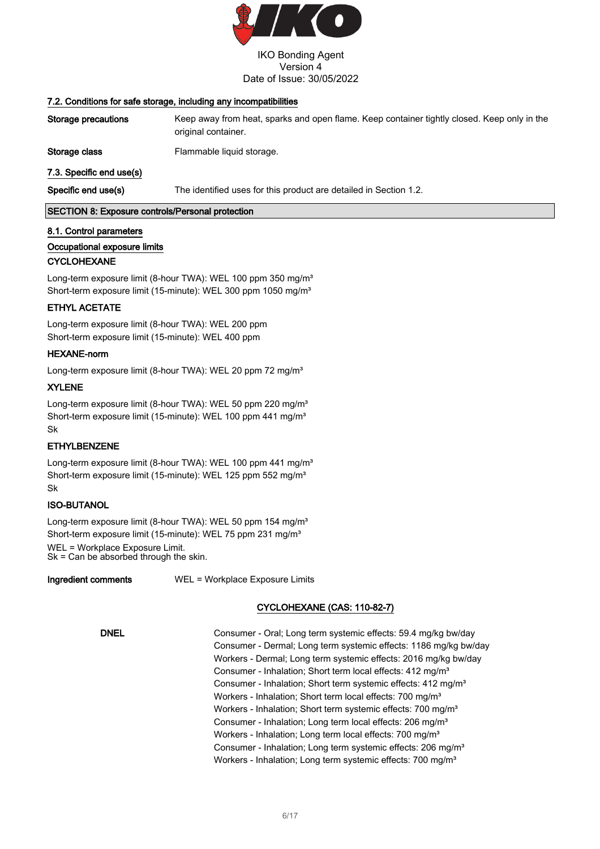

#### 7.2. Conditions for safe storage, including any incompatibilities

| Specific end use(s)      | The identified uses for this product are detailed in Section 1.2.                                                  |
|--------------------------|--------------------------------------------------------------------------------------------------------------------|
| 7.3. Specific end use(s) |                                                                                                                    |
| Storage class            | Flammable liquid storage.                                                                                          |
| Storage precautions      | Keep away from heat, sparks and open flame. Keep container tightly closed. Keep only in the<br>original container. |

SECTION 8: Exposure controls/Personal protection

#### 8.1. Control parameters

#### Occupational exposure limits

#### **CYCLOHEXANE**

Long-term exposure limit (8-hour TWA): WEL 100 ppm 350 mg/m<sup>3</sup> Short-term exposure limit (15-minute): WEL 300 ppm 1050 mg/m<sup>3</sup>

#### ETHYL ACETATE

Long-term exposure limit (8-hour TWA): WEL 200 ppm Short-term exposure limit (15-minute): WEL 400 ppm

#### HEXANE-norm

Long-term exposure limit (8-hour TWA): WEL 20 ppm 72 mg/m<sup>3</sup>

#### XYLENE

Long-term exposure limit (8-hour TWA): WEL 50 ppm 220 mg/m<sup>3</sup> Short-term exposure limit (15-minute): WEL 100 ppm 441 mg/m<sup>3</sup> Sk

#### ETHYLBENZENE

Long-term exposure limit (8-hour TWA): WEL 100 ppm 441 mq/m<sup>3</sup> Short-term exposure limit (15-minute): WEL 125 ppm 552 mg/m<sup>3</sup> Sk

#### ISO-BUTANOL

Long-term exposure limit (8-hour TWA): WEL 50 ppm 154 mg/m<sup>3</sup> Short-term exposure limit (15-minute): WEL 75 ppm 231 mg/m<sup>3</sup> WEL = Workplace Exposure Limit.

Sk = Can be absorbed through the skin.

Ingredient comments WEL = Workplace Exposure Limits

## CYCLOHEXANE (CAS: 110-82-7)

DNEL Consumer - Oral; Long term systemic effects: 59.4 mg/kg bw/day Consumer - Dermal; Long term systemic effects: 1186 mg/kg bw/day Workers - Dermal; Long term systemic effects: 2016 mg/kg bw/day Consumer - Inhalation; Short term local effects: 412 mg/m<sup>3</sup> Consumer - Inhalation; Short term systemic effects: 412 mg/m<sup>3</sup> Workers - Inhalation; Short term local effects: 700 mg/m<sup>3</sup> Workers - Inhalation; Short term systemic effects: 700 mg/m<sup>3</sup> Consumer - Inhalation; Long term local effects: 206 mg/m<sup>3</sup> Workers - Inhalation; Long term local effects: 700 mg/m<sup>3</sup> Consumer - Inhalation; Long term systemic effects: 206 mg/m<sup>3</sup> Workers - Inhalation; Long term systemic effects: 700 mg/m<sup>3</sup>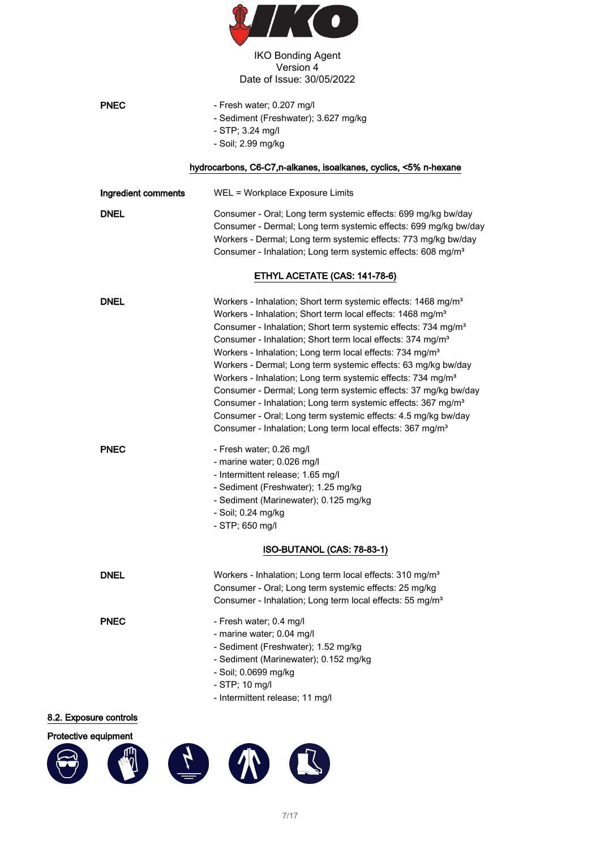

| <b>PNEC</b>         | - Fresh water; 0.207 mg/l<br>- Sediment (Freshwater); 3.627 mg/kg<br>- STP; 3.24 mg/l<br>- Soil; 2.99 mg/kg                                                                                                                                                                                                                                                                                                                                                                                                                                                                                                                                                                                                                                                                                                            |
|---------------------|------------------------------------------------------------------------------------------------------------------------------------------------------------------------------------------------------------------------------------------------------------------------------------------------------------------------------------------------------------------------------------------------------------------------------------------------------------------------------------------------------------------------------------------------------------------------------------------------------------------------------------------------------------------------------------------------------------------------------------------------------------------------------------------------------------------------|
|                     | hydrocarbons, C6-C7,n-alkanes, isoalkanes, cyclics, <5% n-hexane                                                                                                                                                                                                                                                                                                                                                                                                                                                                                                                                                                                                                                                                                                                                                       |
| Ingredient comments | WEL = Workplace Exposure Limits                                                                                                                                                                                                                                                                                                                                                                                                                                                                                                                                                                                                                                                                                                                                                                                        |
| <b>DNEL</b>         | Consumer - Oral; Long term systemic effects: 699 mg/kg bw/day<br>Consumer - Dermal; Long term systemic effects: 699 mg/kg bw/day<br>Workers - Dermal; Long term systemic effects: 773 mg/kg bw/day<br>Consumer - Inhalation; Long term systemic effects: 608 mg/m <sup>3</sup>                                                                                                                                                                                                                                                                                                                                                                                                                                                                                                                                         |
|                     | ETHYL ACETATE (CAS: 141-78-6)                                                                                                                                                                                                                                                                                                                                                                                                                                                                                                                                                                                                                                                                                                                                                                                          |
| <b>DNEL</b>         | Workers - Inhalation; Short term systemic effects: 1468 mg/m <sup>3</sup><br>Workers - Inhalation; Short term local effects: 1468 mg/m <sup>3</sup><br>Consumer - Inhalation; Short term systemic effects: 734 mg/m <sup>3</sup><br>Consumer - Inhalation; Short term local effects: 374 mg/m <sup>3</sup><br>Workers - Inhalation; Long term local effects: 734 mg/m <sup>3</sup><br>Workers - Dermal; Long term systemic effects: 63 mg/kg bw/day<br>Workers - Inhalation; Long term systemic effects: 734 mg/m <sup>3</sup><br>Consumer - Dermal; Long term systemic effects: 37 mg/kg bw/day<br>Consumer - Inhalation; Long term systemic effects: 367 mg/m <sup>3</sup><br>Consumer - Oral; Long term systemic effects: 4.5 mg/kg bw/day<br>Consumer - Inhalation; Long term local effects: 367 mg/m <sup>3</sup> |
| <b>PNEC</b>         | - Fresh water; 0.26 mg/l<br>- marine water; 0.026 mg/l<br>- Intermittent release; 1.65 mg/l<br>- Sediment (Freshwater); 1.25 mg/kg<br>- Sediment (Marinewater); 0.125 mg/kg<br>- Soil; 0.24 mg/kg<br>- STP; 650 mg/l<br>ISO-BUTANOL (CAS: 78-83-1)                                                                                                                                                                                                                                                                                                                                                                                                                                                                                                                                                                     |
|                     |                                                                                                                                                                                                                                                                                                                                                                                                                                                                                                                                                                                                                                                                                                                                                                                                                        |
| <b>DNEL</b>         | Workers - Inhalation; Long term local effects: 310 mg/m <sup>3</sup><br>Consumer - Oral; Long term systemic effects: 25 mg/kg<br>Consumer - Inhalation; Long term local effects: 55 mg/m <sup>3</sup>                                                                                                                                                                                                                                                                                                                                                                                                                                                                                                                                                                                                                  |
| <b>PNEC</b>         | - Fresh water; 0.4 mg/l<br>- marine water; 0.04 mg/l<br>- Sediment (Freshwater); 1.52 mg/kg<br>- Sediment (Marinewater); 0.152 mg/kg<br>- Soil; 0.0699 mg/kg<br>- STP; 10 mg/l<br>- Intermittent release; 11 mg/l                                                                                                                                                                                                                                                                                                                                                                                                                                                                                                                                                                                                      |

# 8.2. Exposure controls

# Protective equipment

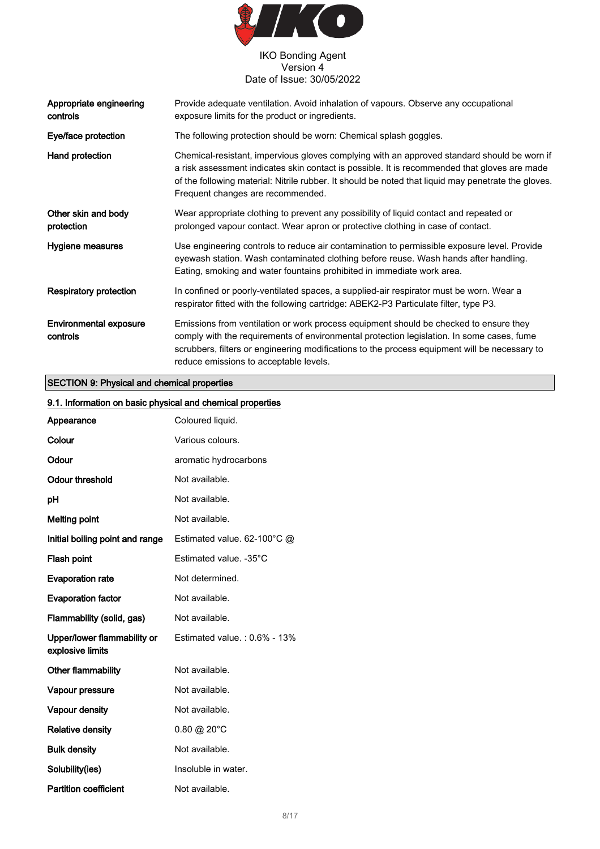

| Appropriate engineering<br>controls       | Provide adequate ventilation. Avoid inhalation of vapours. Observe any occupational<br>exposure limits for the product or ingredients.                                                                                                                                                                                                  |  |
|-------------------------------------------|-----------------------------------------------------------------------------------------------------------------------------------------------------------------------------------------------------------------------------------------------------------------------------------------------------------------------------------------|--|
| Eye/face protection                       | The following protection should be worn: Chemical splash goggles.                                                                                                                                                                                                                                                                       |  |
| Hand protection                           | Chemical-resistant, impervious gloves complying with an approved standard should be worn if<br>a risk assessment indicates skin contact is possible. It is recommended that gloves are made<br>of the following material: Nitrile rubber. It should be noted that liquid may penetrate the gloves.<br>Frequent changes are recommended. |  |
| Other skin and body<br>protection         | Wear appropriate clothing to prevent any possibility of liquid contact and repeated or<br>prolonged vapour contact. Wear apron or protective clothing in case of contact.                                                                                                                                                               |  |
| Hygiene measures                          | Use engineering controls to reduce air contamination to permissible exposure level. Provide<br>eyewash station. Wash contaminated clothing before reuse. Wash hands after handling.<br>Eating, smoking and water fountains prohibited in immediate work area.                                                                           |  |
| Respiratory protection                    | In confined or poorly-ventilated spaces, a supplied-air respirator must be worn. Wear a<br>respirator fitted with the following cartridge: ABEK2-P3 Particulate filter, type P3.                                                                                                                                                        |  |
| <b>Environmental exposure</b><br>controls | Emissions from ventilation or work process equipment should be checked to ensure they<br>comply with the requirements of environmental protection legislation. In some cases, fume<br>scrubbers, filters or engineering modifications to the process equipment will be necessary to<br>reduce emissions to acceptable levels.           |  |

# SECTION 9: Physical and chemical properties

| 9.1. Information on basic physical and chemical properties |                              |  |
|------------------------------------------------------------|------------------------------|--|
| Appearance                                                 | Coloured liquid.             |  |
| Colour                                                     | Various colours.             |  |
| Odour                                                      | aromatic hydrocarbons        |  |
| <b>Odour threshold</b>                                     | Not available.               |  |
| pH                                                         | Not available.               |  |
| <b>Melting point</b>                                       | Not available.               |  |
| Initial boiling point and range                            | Estimated value. 62-100°C @  |  |
| Flash point                                                | Estimated value. - 35°C      |  |
| <b>Evaporation rate</b>                                    | Not determined.              |  |
| <b>Evaporation factor</b>                                  | Not available.               |  |
| Flammability (solid, gas)                                  | Not available.               |  |
| Upper/lower flammability or<br>explosive limits            | Estimated value.: 0.6% - 13% |  |
| Other flammability                                         | Not available.               |  |
| Vapour pressure                                            | Not available.               |  |
| Vapour density                                             | Not available.               |  |
| <b>Relative density</b>                                    | $0.80 \ @ 20^{\circ}C$       |  |
| <b>Bulk density</b>                                        | Not available.               |  |
| Solubility(ies)                                            | Insoluble in water.          |  |
| <b>Partition coefficient</b>                               | Not available.               |  |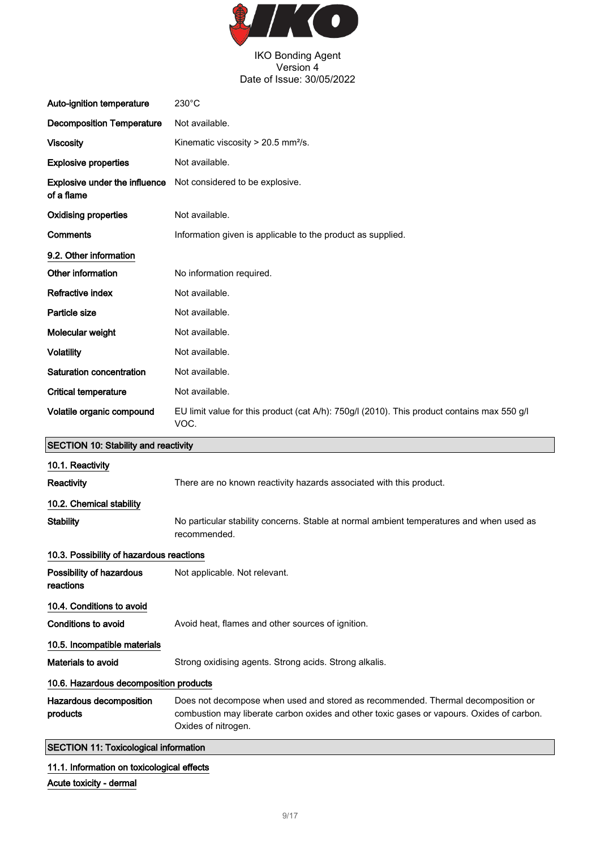

| Auto-ignition temperature                   | $230^{\circ}$ C                                                                                                                                                                                      |
|---------------------------------------------|------------------------------------------------------------------------------------------------------------------------------------------------------------------------------------------------------|
| <b>Decomposition Temperature</b>            | Not available.                                                                                                                                                                                       |
| <b>Viscosity</b>                            | Kinematic viscosity $> 20.5$ mm <sup>2</sup> /s.                                                                                                                                                     |
| <b>Explosive properties</b>                 | Not available.                                                                                                                                                                                       |
| Explosive under the influence<br>of a flame | Not considered to be explosive.                                                                                                                                                                      |
| <b>Oxidising properties</b>                 | Not available.                                                                                                                                                                                       |
| <b>Comments</b>                             | Information given is applicable to the product as supplied.                                                                                                                                          |
| 9.2. Other information                      |                                                                                                                                                                                                      |
| Other information                           | No information required.                                                                                                                                                                             |
| Refractive index                            | Not available.                                                                                                                                                                                       |
| Particle size                               | Not available.                                                                                                                                                                                       |
| Molecular weight                            | Not available.                                                                                                                                                                                       |
| <b>Volatility</b>                           | Not available.                                                                                                                                                                                       |
| Saturation concentration                    | Not available.                                                                                                                                                                                       |
| <b>Critical temperature</b>                 | Not available.                                                                                                                                                                                       |
| Volatile organic compound                   | EU limit value for this product (cat A/h): 750g/l (2010). This product contains max 550 g/l<br>VOC.                                                                                                  |
|                                             |                                                                                                                                                                                                      |
| <b>SECTION 10: Stability and reactivity</b> |                                                                                                                                                                                                      |
| 10.1. Reactivity                            |                                                                                                                                                                                                      |
| Reactivity                                  | There are no known reactivity hazards associated with this product.                                                                                                                                  |
| 10.2. Chemical stability                    |                                                                                                                                                                                                      |
| <b>Stability</b>                            | No particular stability concerns. Stable at normal ambient temperatures and when used as<br>recommended.                                                                                             |
| 10.3. Possibility of hazardous reactions    |                                                                                                                                                                                                      |
| Possibility of hazardous<br>reactions       | Not applicable. Not relevant.                                                                                                                                                                        |
| 10.4. Conditions to avoid                   |                                                                                                                                                                                                      |
| <b>Conditions to avoid</b>                  | Avoid heat, flames and other sources of ignition.                                                                                                                                                    |
| 10.5. Incompatible materials                |                                                                                                                                                                                                      |
| Materials to avoid                          | Strong oxidising agents. Strong acids. Strong alkalis.                                                                                                                                               |
| 10.6. Hazardous decomposition products      |                                                                                                                                                                                                      |
| Hazardous decomposition<br>products         | Does not decompose when used and stored as recommended. Thermal decomposition or<br>combustion may liberate carbon oxides and other toxic gases or vapours. Oxides of carbon.<br>Oxides of nitrogen. |

11.1. Information on toxicological effects

Acute toxicity - dermal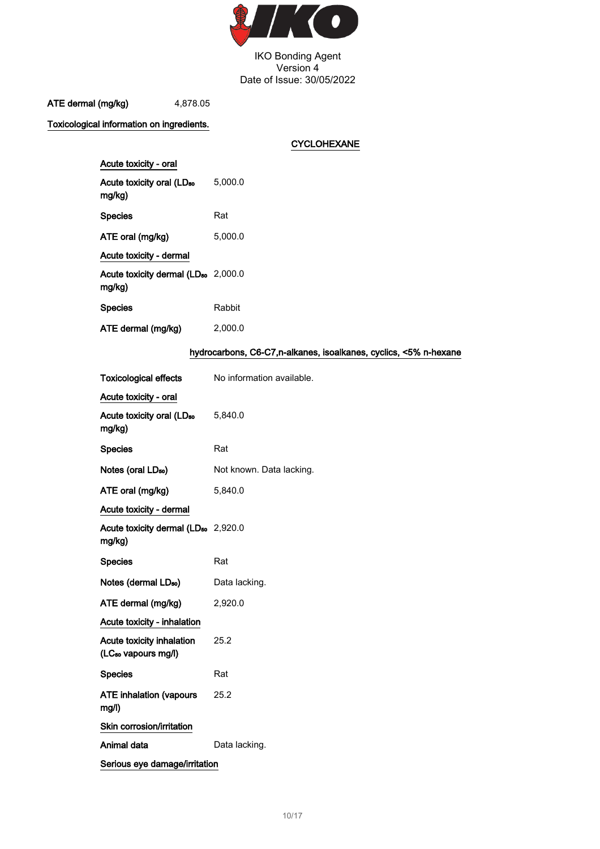

ATE dermal (mg/kg) 4,878.05

Toxicological information on ingredients.

CYCLOHEXANE

| Acute toxicity - oral                                     |         |
|-----------------------------------------------------------|---------|
| Acute toxicity oral (LD <sub>50</sub><br>mg/kg)           | 5.000.0 |
| <b>Species</b>                                            | Rat     |
| ATE oral (mg/kg)                                          | 5.000.0 |
| Acute toxicity - dermal                                   |         |
| Acute toxicity dermal (LD <sub>50</sub> 2,000.0<br>mg/kg) |         |
| <b>Species</b>                                            | Rabbit  |
| ATE dermal (mg/kg)                                        | 2.000.0 |

### hydrocarbons, C6-C7,n-alkanes, isoalkanes, cyclics, <5% n-hexane

| Toxicological effects                                        | No information available. |
|--------------------------------------------------------------|---------------------------|
| Acute toxicity - oral                                        |                           |
| Acute toxicity oral (LD <sub>50</sub><br>mg/kg)              | 5,840.0                   |
| <b>Species</b>                                               | Rat                       |
| Notes (oral LD <sub>50</sub> )                               | Not known. Data lacking.  |
| ATE oral (mg/kg)                                             | 5,840.0                   |
| Acute toxicity - dermal                                      |                           |
| Acute toxicity dermal (LD <sub>50</sub> 2,920.0<br>mg/kg)    |                           |
| <b>Species</b>                                               | Rat                       |
| Notes (dermal LD <sub>so</sub> )                             | Data lacking.             |
| ATE dermal (mg/kg)                                           | 2,920.0                   |
| Acute toxicity - inhalation                                  |                           |
| Acute toxicity inhalation<br>(LC <sub>50</sub> vapours mg/l) | 25.2                      |
| <b>Species</b>                                               | Rat                       |
| <b>ATE inhalation (vapours</b><br>mg/l)                      | 25.2                      |
| Skin corrosion/irritation                                    |                           |
| Animal data                                                  | Data lacking.             |
| Serious eye damage/irritation                                |                           |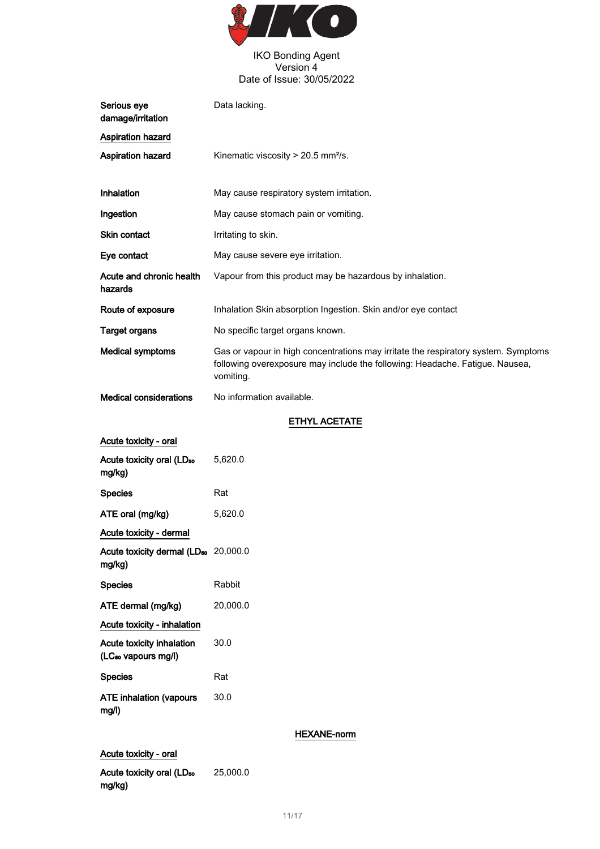

| Serious eye<br>damage/irritation                             | Data lacking.                                                                                                                                                                   |
|--------------------------------------------------------------|---------------------------------------------------------------------------------------------------------------------------------------------------------------------------------|
| <b>Aspiration hazard</b>                                     |                                                                                                                                                                                 |
| <b>Aspiration hazard</b>                                     | Kinematic viscosity > 20.5 mm <sup>2</sup> /s.                                                                                                                                  |
| <b>Inhalation</b>                                            | May cause respiratory system irritation.                                                                                                                                        |
| Ingestion                                                    | May cause stomach pain or vomiting.                                                                                                                                             |
| Skin contact                                                 | Irritating to skin.                                                                                                                                                             |
| Eye contact                                                  | May cause severe eye irritation.                                                                                                                                                |
| Acute and chronic health<br>hazards                          | Vapour from this product may be hazardous by inhalation.                                                                                                                        |
| Route of exposure                                            | Inhalation Skin absorption Ingestion. Skin and/or eye contact                                                                                                                   |
| <b>Target organs</b>                                         | No specific target organs known.                                                                                                                                                |
| <b>Medical symptoms</b>                                      | Gas or vapour in high concentrations may irritate the respiratory system. Symptoms<br>following overexposure may include the following: Headache. Fatigue. Nausea,<br>vomiting. |
| <b>Medical considerations</b>                                | No information available.                                                                                                                                                       |
|                                                              | <b>ETHYL ACETATE</b>                                                                                                                                                            |
| Acute toxicity - oral                                        |                                                                                                                                                                                 |
| Acute toxicity oral (LD <sub>50</sub><br>mg/kg)              | 5,620.0                                                                                                                                                                         |
| <b>Species</b>                                               | Rat                                                                                                                                                                             |
| ATE oral (mg/kg)                                             | 5,620.0                                                                                                                                                                         |
| Acute toxicity - dermal                                      |                                                                                                                                                                                 |
| Acute toxicity dermal (LD <sub>50</sub> 20,000.0<br>mg/kg)   |                                                                                                                                                                                 |
| <b>Species</b>                                               | Rabbit                                                                                                                                                                          |
| ATE dermal (mg/kg)                                           | 20,000.0                                                                                                                                                                        |
| Acute toxicity - inhalation                                  |                                                                                                                                                                                 |
| Acute toxicity inhalation<br>(LC <sub>50</sub> vapours mg/l) | 30.0                                                                                                                                                                            |
| <b>Species</b>                                               | Rat                                                                                                                                                                             |
| <b>ATE inhalation (vapours</b><br>mg/l)                      | 30.0                                                                                                                                                                            |
|                                                              | <b>HEXANE-norm</b>                                                                                                                                                              |
| Acute toxicity - oral                                        |                                                                                                                                                                                 |

Acute toxicity oral (LD<sub>50</sub> mg/kg) 25,000.0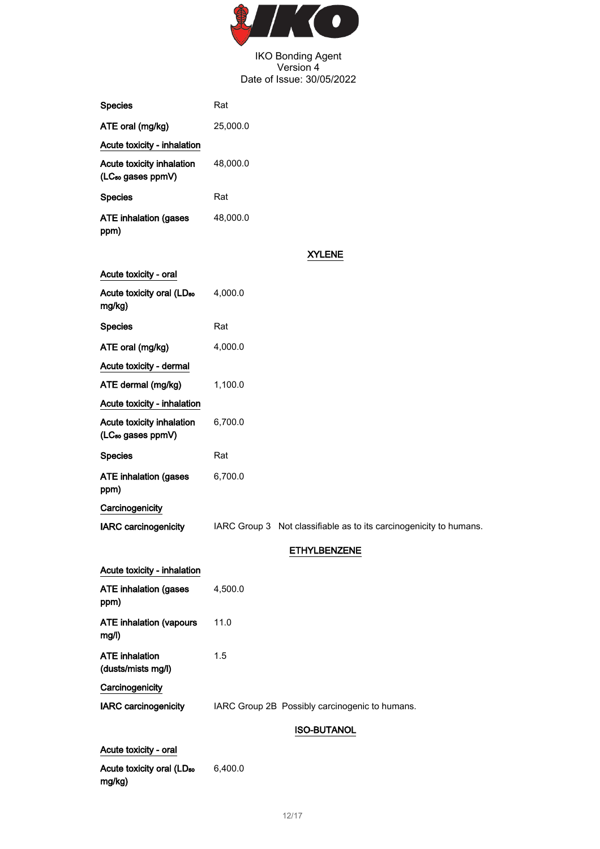

| <b>Species</b>                                             | Rat                                                                |
|------------------------------------------------------------|--------------------------------------------------------------------|
| ATE oral (mg/kg)                                           | 25,000.0                                                           |
| Acute toxicity - inhalation                                |                                                                    |
| Acute toxicity inhalation<br>(LC <sub>50</sub> gases ppmV) | 48,000.0                                                           |
| <b>Species</b>                                             | Rat                                                                |
| <b>ATE inhalation (gases</b><br>ppm)                       | 48,000.0                                                           |
|                                                            | <b>XYLENE</b>                                                      |
| Acute toxicity - oral                                      |                                                                    |
| Acute toxicity oral (LD <sub>50</sub><br>mg/kg)            | 4,000.0                                                            |
| <b>Species</b>                                             | Rat                                                                |
| ATE oral (mg/kg)                                           | 4,000.0                                                            |
| Acute toxicity - dermal                                    |                                                                    |
| ATE dermal (mg/kg)                                         | 1,100.0                                                            |
| Acute toxicity - inhalation                                |                                                                    |
| Acute toxicity inhalation<br>(LC <sub>50</sub> gases ppmV) | 6,700.0                                                            |
|                                                            |                                                                    |
| <b>Species</b>                                             | Rat                                                                |
| <b>ATE inhalation (gases</b><br>ppm)                       | 6,700.0                                                            |
| Carcinogenicity                                            |                                                                    |
| <b>IARC</b> carcinogenicity                                | IARC Group 3 Not classifiable as to its carcinogenicity to humans. |
|                                                            | <b>ETHYLBENZENE</b>                                                |
| Acute toxicity - inhalation                                |                                                                    |
| <b>ATE inhalation (gases</b><br>ppm)                       | 4,500.0                                                            |
| <b>ATE inhalation (vapours</b><br>mg/l)                    | 11.0                                                               |
| <b>ATE</b> inhalation<br>(dusts/mists mg/l)                | 1.5                                                                |
| Carcinogenicity                                            |                                                                    |
| <b>IARC carcinogenicity</b>                                | IARC Group 2B Possibly carcinogenic to humans.                     |
|                                                            | <b>ISO-BUTANOL</b>                                                 |
| Acute toxicity - oral                                      |                                                                    |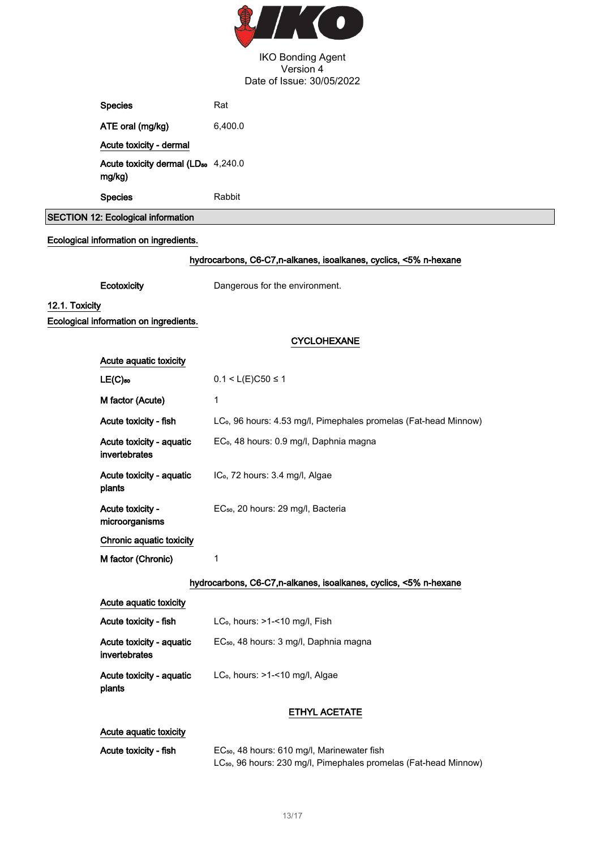

|                | <b>Species</b>                                                   | Rat                                                                                                                                     |  |
|----------------|------------------------------------------------------------------|-----------------------------------------------------------------------------------------------------------------------------------------|--|
|                | ATE oral (mg/kg)                                                 | 6,400.0                                                                                                                                 |  |
|                | Acute toxicity - dermal                                          |                                                                                                                                         |  |
|                | Acute toxicity dermal (LD <sub>50</sub> 4,240.0<br>mg/kg)        |                                                                                                                                         |  |
|                | <b>Species</b>                                                   | Rabbit                                                                                                                                  |  |
|                | <b>SECTION 12: Ecological information</b>                        |                                                                                                                                         |  |
|                | Ecological information on ingredients.                           |                                                                                                                                         |  |
|                |                                                                  | hydrocarbons, C6-C7, n-alkanes, isoalkanes, cyclics, <5% n-hexane                                                                       |  |
|                | Ecotoxicity                                                      | Dangerous for the environment.                                                                                                          |  |
| 12.1. Toxicity |                                                                  |                                                                                                                                         |  |
|                | Ecological information on ingredients.                           |                                                                                                                                         |  |
|                |                                                                  | <b>CYCLOHEXANE</b>                                                                                                                      |  |
|                | Acute aquatic toxicity                                           |                                                                                                                                         |  |
|                | $LE(C)$ 50                                                       | $0.1 < L(E)C50 \le 1$                                                                                                                   |  |
|                | M factor (Acute)                                                 | 1                                                                                                                                       |  |
|                | Acute toxicity - fish                                            | LC <sub>o</sub> , 96 hours: 4.53 mg/l, Pimephales promelas (Fat-head Minnow)                                                            |  |
|                | Acute toxicity - aquatic<br>invertebrates                        | EC <sub>o</sub> , 48 hours: 0.9 mg/l, Daphnia magna                                                                                     |  |
|                | Acute toxicity - aquatic<br>plants                               | IC <sub>o</sub> , 72 hours: 3.4 mg/l, Algae                                                                                             |  |
|                | Acute toxicity -<br>microorganisms                               | EC <sub>50</sub> , 20 hours: 29 mg/l, Bacteria                                                                                          |  |
|                | Chronic aquatic toxicity                                         |                                                                                                                                         |  |
|                | M factor (Chronic)                                               | 1                                                                                                                                       |  |
|                | hydrocarbons, C6-C7,n-alkanes, isoalkanes, cyclics, <5% n-hexane |                                                                                                                                         |  |
|                | Acute aquatic toxicity                                           |                                                                                                                                         |  |
|                | Acute toxicity - fish                                            | LC <sub>o</sub> , hours: >1-<10 mg/l, Fish                                                                                              |  |
|                | Acute toxicity - aquatic<br>invertebrates                        | EC <sub>50</sub> , 48 hours: 3 mg/l, Daphnia magna                                                                                      |  |
|                | Acute toxicity - aquatic<br>plants                               | LC <sub>o</sub> , hours: >1-<10 mg/l, Algae                                                                                             |  |
|                |                                                                  | <b>ETHYL ACETATE</b>                                                                                                                    |  |
|                | Acute aquatic toxicity                                           |                                                                                                                                         |  |
|                | Acute toxicity - fish                                            | EC <sub>50</sub> , 48 hours: 610 mg/l, Marinewater fish<br>LC <sub>50</sub> , 96 hours: 230 mg/l, Pimephales promelas (Fat-head Minnow) |  |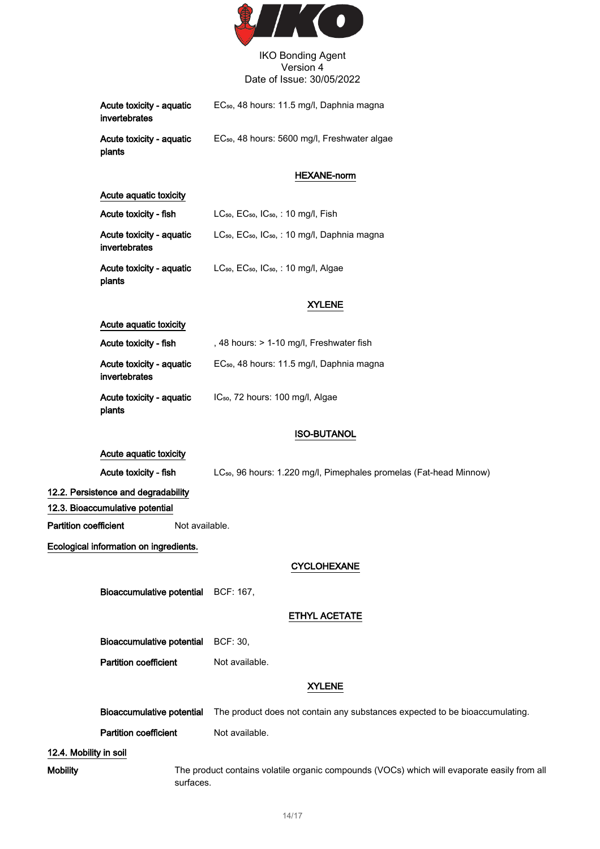

| Acute toxicity - aquatic<br>invertebrates | EC <sub>50</sub> , 48 hours: 11.5 mg/l, Daphnia magna    |
|-------------------------------------------|----------------------------------------------------------|
| Acute toxicity - aquatic<br>plants        | EC <sub>50</sub> , 48 hours: 5600 mg/l, Freshwater algae |

#### HEXANE-norm

| Acute aquatic toxicity                    |                                                                                   |  |
|-------------------------------------------|-----------------------------------------------------------------------------------|--|
| Acute toxicity - fish                     | LC <sub>50</sub> , EC <sub>50</sub> , IC <sub>50</sub> , : 10 mg/l, Fish          |  |
| Acute toxicity - aquatic<br>invertebrates | LC <sub>50</sub> , EC <sub>50</sub> , IC <sub>50</sub> , : 10 mg/l, Daphnia magna |  |
| Acute toxicity - aquatic<br>plants        | LC <sub>50</sub> , EC <sub>50</sub> , IC <sub>50</sub> , : 10 mg/l, Algae         |  |

### XYLENE

#### Acute aquatic toxicity

| Acute toxicity - fish                     | , 48 hours: > 1-10 mg/l, Freshwater fish              |
|-------------------------------------------|-------------------------------------------------------|
| Acute toxicity - aguatic<br>invertebrates | EC <sub>50</sub> , 48 hours: 11.5 mg/l, Daphnia magna |
| Acute toxicity - aquatic<br>plants        | IC <sub>50</sub> , 72 hours: 100 mg/l, Algae          |

### ISO-BUTANOL

### Acute aquatic toxicity

Acute toxicity - fish LC<sub>so,</sub> 96 hours: 1.220 mg/l, Pimephales promelas (Fat-head Minnow)

#### 12.2. Persistence and degradability

12.3. Bioaccumulative potential

**Partition coefficient** Not available.

Ecological information on ingredients.

#### CYCLOHEXANE

Bioaccumulative potential BCF: 167,

ETHYL ACETATE

Bioaccumulative potential BCF: 30,

**Partition coefficient** Not available.

## XYLENE

Bioaccumulative potential The product does not contain any substances expected to be bioaccumulating. Partition coefficient Not available.

#### 12.4. Mobility in soil

Mobility The product contains volatile organic compounds (VOCs) which will evaporate easily from all surfaces.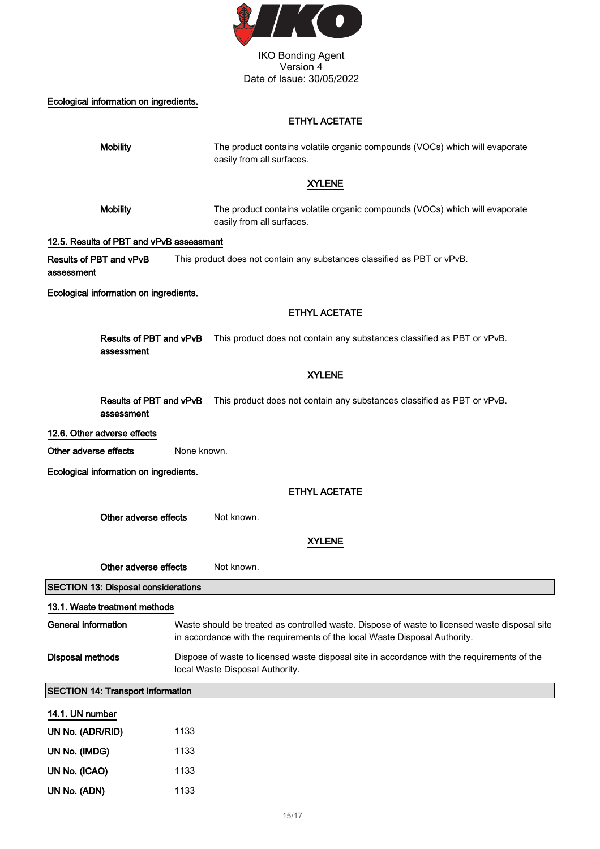

# Ecological information on ingredients.

# ETHYL ACETATE

| <b>Mobility</b>                            | The product contains volatile organic compounds (VOCs) which will evaporate<br>easily from all surfaces.                                                                    |
|--------------------------------------------|-----------------------------------------------------------------------------------------------------------------------------------------------------------------------------|
|                                            | <b>XYLENE</b>                                                                                                                                                               |
| <b>Mobility</b>                            | The product contains volatile organic compounds (VOCs) which will evaporate<br>easily from all surfaces.                                                                    |
| 12.5. Results of PBT and vPvB assessment   |                                                                                                                                                                             |
| Results of PBT and vPvB<br>assessment      | This product does not contain any substances classified as PBT or vPvB.                                                                                                     |
| Ecological information on ingredients.     |                                                                                                                                                                             |
|                                            | <b>ETHYL ACETATE</b>                                                                                                                                                        |
| Results of PBT and vPvB<br>assessment      | This product does not contain any substances classified as PBT or vPvB.                                                                                                     |
|                                            | <b>XYLENE</b>                                                                                                                                                               |
| Results of PBT and vPvB<br>assessment      | This product does not contain any substances classified as PBT or vPvB.                                                                                                     |
| 12.6. Other adverse effects                |                                                                                                                                                                             |
| Other adverse effects                      | None known.                                                                                                                                                                 |
| Ecological information on ingredients.     |                                                                                                                                                                             |
|                                            | <b>ETHYL ACETATE</b>                                                                                                                                                        |
| Other adverse effects                      | Not known.                                                                                                                                                                  |
|                                            | <b>XYLENE</b>                                                                                                                                                               |
| Other adverse effects                      | Not known.                                                                                                                                                                  |
| <b>SECTION 13: Disposal considerations</b> |                                                                                                                                                                             |
|                                            |                                                                                                                                                                             |
| 13.1. Waste treatment methods              |                                                                                                                                                                             |
| <b>General information</b>                 | Waste should be treated as controlled waste. Dispose of waste to licensed waste disposal site<br>in accordance with the requirements of the local Waste Disposal Authority. |
| <b>Disposal methods</b>                    | Dispose of waste to licensed waste disposal site in accordance with the requirements of the<br>local Waste Disposal Authority.                                              |
| <b>SECTION 14: Transport information</b>   |                                                                                                                                                                             |
| 14.1. UN number                            |                                                                                                                                                                             |
| UN No. (ADR/RID)                           | 1133                                                                                                                                                                        |
| UN No. (IMDG)                              | 1133                                                                                                                                                                        |
| UN No. (ICAO)                              | 1133                                                                                                                                                                        |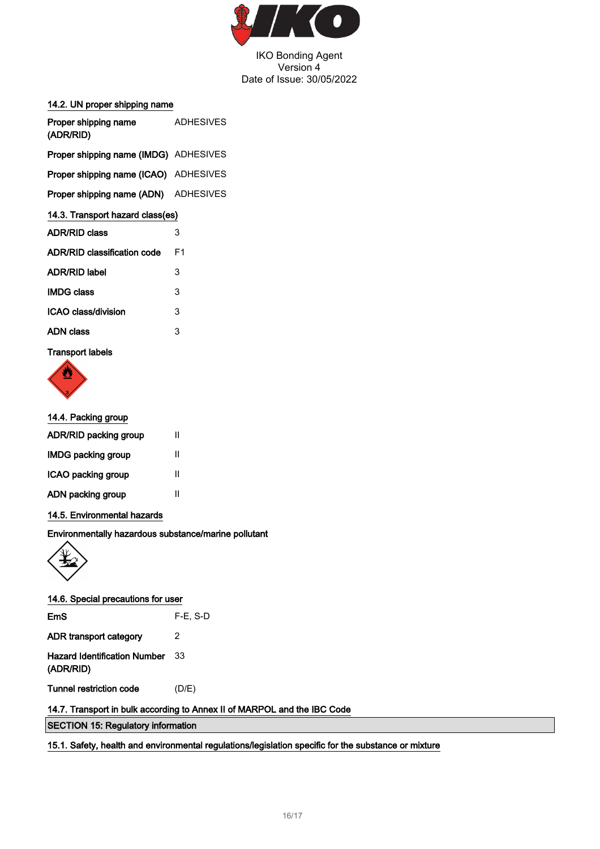

#### 14.2. UN proper shipping name

| Proper shipping name<br>(ADR/RID)            | <b>ADHESIVES</b> |  |
|----------------------------------------------|------------------|--|
| <b>Proper shipping name (IMDG)</b> ADHESIVES |                  |  |
| Proper shipping name (ICAO) ADHESIVES        |                  |  |
| <b>Proper shipping name (ADN)</b> ADHESIVES  |                  |  |
| 14.3. Transport hazard class(es)             |                  |  |
| <b>ADR/RID class</b>                         | 3                |  |
| ADR/RID classification code                  | F1               |  |
| <b>ADR/RID label</b>                         | 3                |  |
| <b>IMDG class</b>                            | 3                |  |
| ICAO class/division                          | 3                |  |
| ADN class                                    | 3                |  |
|                                              |                  |  |

# Transport labels



## 14.4. Packing group

#### 14.5. Environmental hazards

Environmentally hazardous substance/marine pollutant



| 14.6. Special precautions for user               |             |
|--------------------------------------------------|-------------|
| EmS                                              | $F-E$ , S-D |
| ADR transport category                           | 2           |
| <b>Hazard Identification Number</b><br>(ADR/RID) | 33          |
| Tunnel restriction code                          | (D/E)       |

## 14.7. Transport in bulk according to Annex II of MARPOL and the IBC Code

SECTION 15: Regulatory information

15.1. Safety, health and environmental regulations/legislation specific for the substance or mixture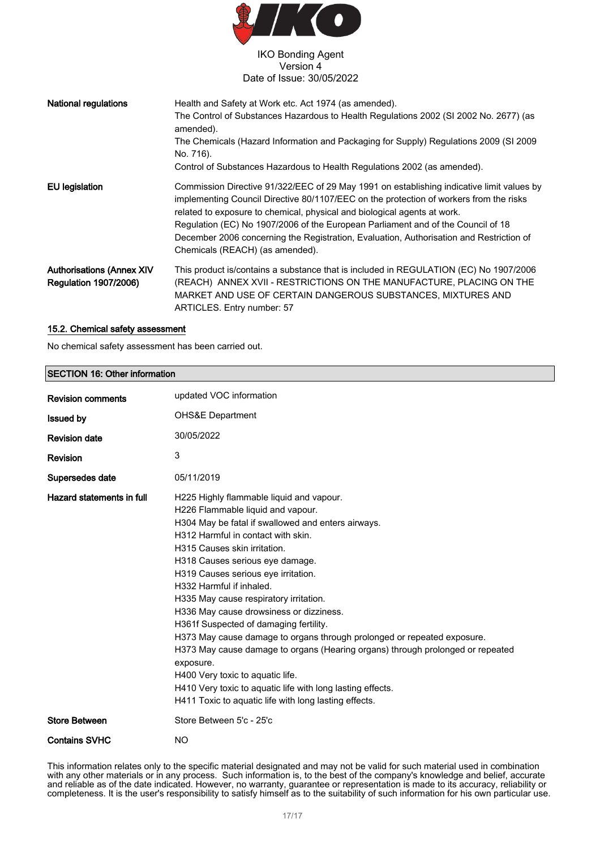

| <b>National regulations</b>                                      | Health and Safety at Work etc. Act 1974 (as amended).<br>The Control of Substances Hazardous to Health Regulations 2002 (SI 2002 No. 2677) (as<br>amended).<br>The Chemicals (Hazard Information and Packaging for Supply) Regulations 2009 (SI 2009<br>No. 716).<br>Control of Substances Hazardous to Health Regulations 2002 (as amended).                                                                                                                                     |
|------------------------------------------------------------------|-----------------------------------------------------------------------------------------------------------------------------------------------------------------------------------------------------------------------------------------------------------------------------------------------------------------------------------------------------------------------------------------------------------------------------------------------------------------------------------|
| <b>EU</b> legislation                                            | Commission Directive 91/322/EEC of 29 May 1991 on establishing indicative limit values by<br>implementing Council Directive 80/1107/EEC on the protection of workers from the risks<br>related to exposure to chemical, physical and biological agents at work.<br>Regulation (EC) No 1907/2006 of the European Parliament and of the Council of 18<br>December 2006 concerning the Registration, Evaluation, Authorisation and Restriction of<br>Chemicals (REACH) (as amended). |
| <b>Authorisations (Annex XIV</b><br><b>Regulation 1907/2006)</b> | This product is/contains a substance that is included in REGULATION (EC) No 1907/2006<br>(REACH) ANNEX XVII - RESTRICTIONS ON THE MANUFACTURE, PLACING ON THE<br>MARKET AND USE OF CERTAIN DANGEROUS SUBSTANCES, MIXTURES AND<br>ARTICLES. Entry number: 57                                                                                                                                                                                                                       |

#### 15.2. Chemical safety assessment

No chemical safety assessment has been carried out.

| <b>SECTION 16: Other information</b> |                                                                                                                                                                                                                                                                                                                                                                                                                                                                                                                                                                                                                                                                                                                                                                                     |  |
|--------------------------------------|-------------------------------------------------------------------------------------------------------------------------------------------------------------------------------------------------------------------------------------------------------------------------------------------------------------------------------------------------------------------------------------------------------------------------------------------------------------------------------------------------------------------------------------------------------------------------------------------------------------------------------------------------------------------------------------------------------------------------------------------------------------------------------------|--|
| <b>Revision comments</b>             | updated VOC information                                                                                                                                                                                                                                                                                                                                                                                                                                                                                                                                                                                                                                                                                                                                                             |  |
| <b>Issued by</b>                     | <b>OHS&amp;E Department</b>                                                                                                                                                                                                                                                                                                                                                                                                                                                                                                                                                                                                                                                                                                                                                         |  |
| <b>Revision date</b>                 | 30/05/2022                                                                                                                                                                                                                                                                                                                                                                                                                                                                                                                                                                                                                                                                                                                                                                          |  |
| Revision                             | 3                                                                                                                                                                                                                                                                                                                                                                                                                                                                                                                                                                                                                                                                                                                                                                                   |  |
| Supersedes date                      | 05/11/2019                                                                                                                                                                                                                                                                                                                                                                                                                                                                                                                                                                                                                                                                                                                                                                          |  |
| Hazard statements in full            | H225 Highly flammable liquid and vapour.<br>H226 Flammable liquid and vapour.<br>H304 May be fatal if swallowed and enters airways.<br>H312 Harmful in contact with skin.<br>H315 Causes skin irritation.<br>H318 Causes serious eye damage.<br>H319 Causes serious eye irritation.<br>H332 Harmful if inhaled.<br>H335 May cause respiratory irritation.<br>H336 May cause drowsiness or dizziness.<br>H361f Suspected of damaging fertility.<br>H373 May cause damage to organs through prolonged or repeated exposure.<br>H373 May cause damage to organs (Hearing organs) through prolonged or repeated<br>exposure.<br>H400 Very toxic to aquatic life.<br>H410 Very toxic to aquatic life with long lasting effects.<br>H411 Toxic to aquatic life with long lasting effects. |  |
| <b>Store Between</b>                 | Store Between 5'c - 25'c                                                                                                                                                                                                                                                                                                                                                                                                                                                                                                                                                                                                                                                                                                                                                            |  |
| <b>Contains SVHC</b>                 | NO                                                                                                                                                                                                                                                                                                                                                                                                                                                                                                                                                                                                                                                                                                                                                                                  |  |

This information relates only to the specific material designated and may not be valid for such material used in combination with any other materials or in any process. Such information is, to the best of the company's knowledge and belief, accurate and reliable as of the date indicated. However, no warranty, guarantee or representation is made to its accuracy, reliability or completeness. It is the user's responsibility to satisfy himself as to the suitability of such information for his own particular use.